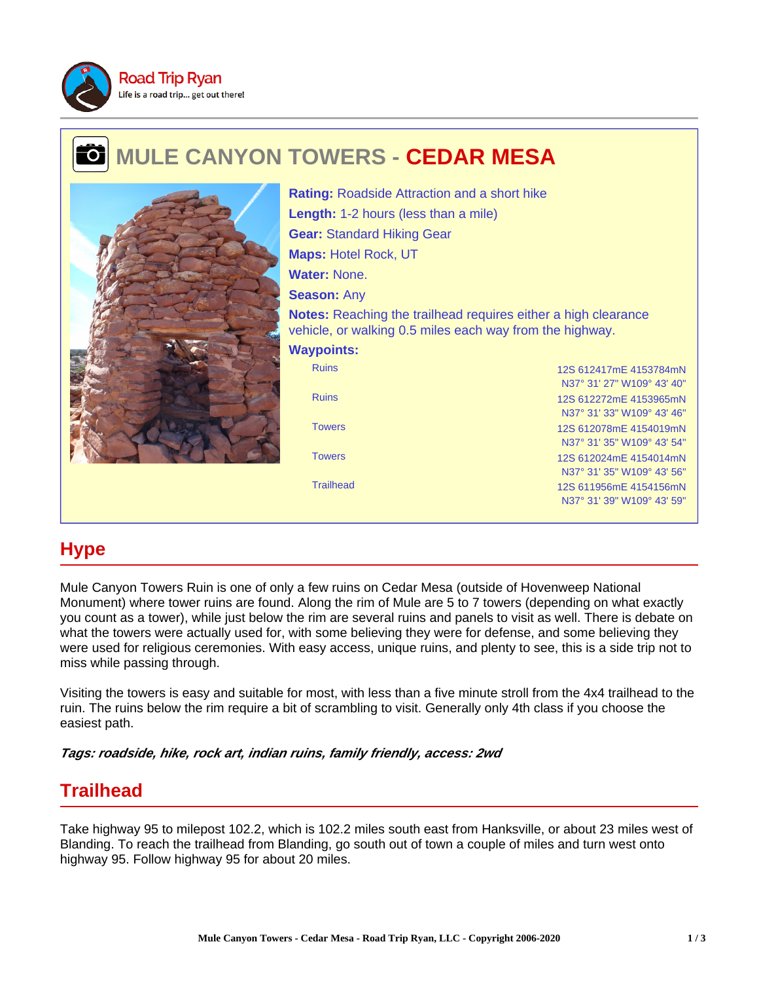

### **MULE CANYON TOWERS - CEDAR MESA** ᠊ᡉ



Ruins 12S 612417mE 4153784mN N37° 31' 27" W109° 43' 40" Ruins 12S 612272mE 4153965mN N37° 31' 33" W109° 43' 46" Towers 12S 612078mE 4154019mN N37° 31' 35" W109° 43' 54" Towers 12S 612024mE 4154014mN N37° 31' 35" W109° 43' 56" Trailhead 12S 611956mE 4154156mN N37° 31' 39" W109° 43' 59" **Rating:** Roadside Attraction and a short hike **Length:** 1-2 hours (less than a mile) **Gear:** Standard Hiking Gear **Maps:** Hotel Rock, UT **Water:** None. **Season:** Any **Notes:** Reaching the trailhead requires either a high clearance vehicle, or walking 0.5 miles each way from the highway. **Waypoints:**

# **Hype**

Mule Canyon Towers Ruin is one of only a few ruins on Cedar Mesa (outside of Hovenweep National Monument) where tower ruins are found. Along the rim of Mule are 5 to 7 towers (depending on what exactly you count as a tower), while just below the rim are several ruins and panels to visit as well. There is debate on what the towers were actually used for, with some believing they were for defense, and some believing they were used for religious ceremonies. With easy access, unique ruins, and plenty to see, this is a side trip not to miss while passing through.

Visiting the towers is easy and suitable for most, with less than a five minute stroll from the 4x4 trailhead to the ruin. The ruins below the rim require a bit of scrambling to visit. Generally only 4th class if you choose the easiest path.

**Tags: roadside, hike, rock art, indian ruins, family friendly, access: 2wd**

## **Trailhead**

Take highway 95 to milepost 102.2, which is 102.2 miles south east from Hanksville, or about 23 miles west of Blanding. To reach the trailhead from Blanding, go south out of town a couple of miles and turn west onto highway 95. Follow highway 95 for about 20 miles.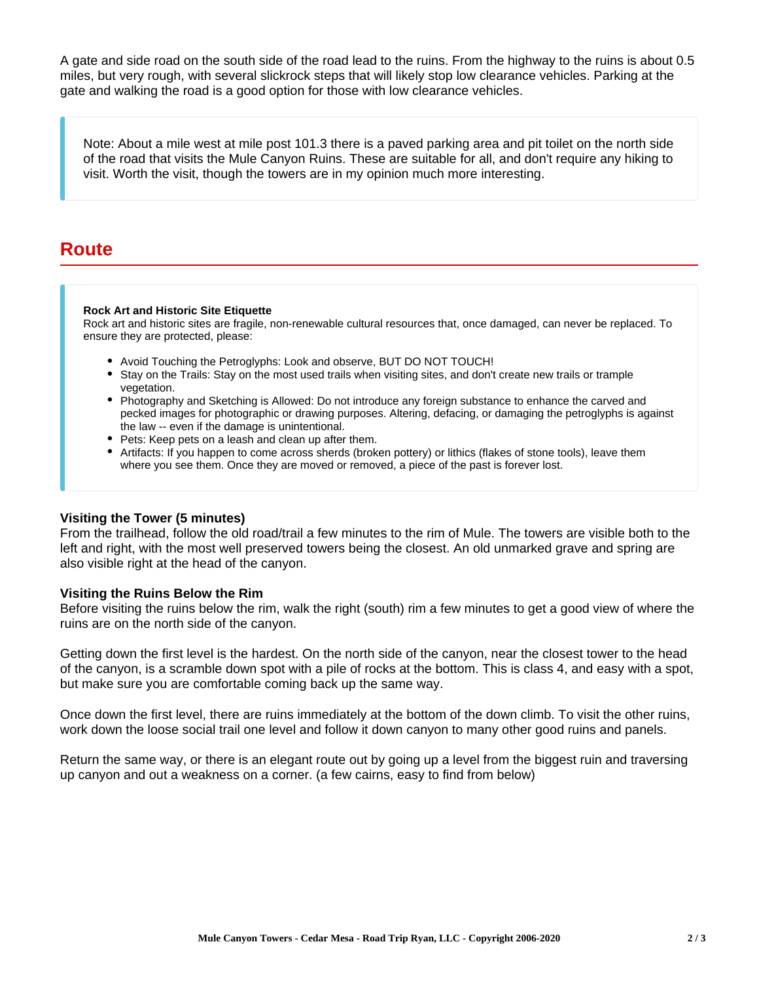A gate and side road on the south side of the road lead to the ruins. From the highway to the ruins is about 0.5 miles, but very rough, with several slickrock steps that will likely stop low clearance vehicles. Parking at the gate and walking the road is a good option for those with low clearance vehicles.

Note: About a mile west at mile post 101.3 there is a paved parking area and pit toilet on the north side of the road that visits the Mule Canyon Ruins. These are suitable for all, and don't require any hiking to visit. Worth the visit, though the towers are in my opinion much more interesting.

### **Route**

#### **Rock Art and Historic Site Etiquette**

Rock art and historic sites are fragile, non-renewable cultural resources that, once damaged, can never be replaced. To ensure they are protected, please:

- Avoid Touching the Petroglyphs: Look and observe, BUT DO NOT TOUCH!
- Stay on the Trails: Stay on the most used trails when visiting sites, and don't create new trails or trample vegetation.
- Photography and Sketching is Allowed: Do not introduce any foreign substance to enhance the carved and pecked images for photographic or drawing purposes. Altering, defacing, or damaging the petroglyphs is against the law -- even if the damage is unintentional.
- Pets: Keep pets on a leash and clean up after them.
- Artifacts: If you happen to come across sherds (broken pottery) or lithics (flakes of stone tools), leave them where you see them. Once they are moved or removed, a piece of the past is forever lost.

### **Visiting the Tower (5 minutes)**

From the trailhead, follow the old road/trail a few minutes to the rim of Mule. The towers are visible both to the left and right, with the most well preserved towers being the closest. An old unmarked grave and spring are also visible right at the head of the canyon.

### **Visiting the Ruins Below the Rim**

Before visiting the ruins below the rim, walk the right (south) rim a few minutes to get a good view of where the ruins are on the north side of the canyon.

Getting down the first level is the hardest. On the north side of the canyon, near the closest tower to the head of the canyon, is a scramble down spot with a pile of rocks at the bottom. This is class 4, and easy with a spot, but make sure you are comfortable coming back up the same way.

Once down the first level, there are ruins immediately at the bottom of the down climb. To visit the other ruins, work down the loose social trail one level and follow it down canyon to many other good ruins and panels.

Return the same way, or there is an elegant route out by going up a level from the biggest ruin and traversing up canyon and out a weakness on a corner. (a few cairns, easy to find from below)